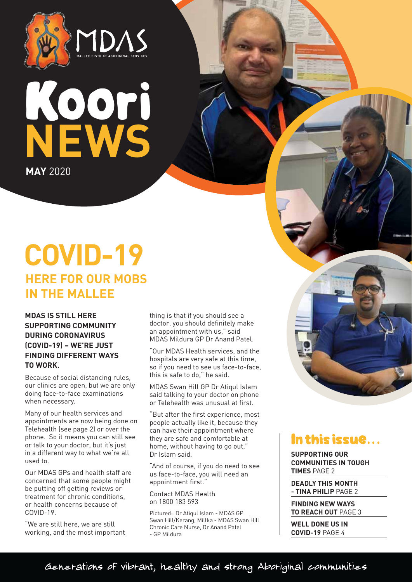



# **COVID-19 HERE FOR OUR MOBS IN THE MALLEE**

**MDAS IS STILL HERE SUPPORTING COMMUNITY DURING CORONAVIRUS (COVID-19) – WE'RE JUST FINDING DIFFERENT WAYS TO WORK.**

Because of social distancing rules, our clinics are open, but we are only doing face-to-face examinations when necessary.

Many of our health services and appointments are now being done on Telehealth (see page 2) or over the phone. So it means you can still see or talk to your doctor, but it's just in a different way to what we're all used to.

Our MDAS GPs and health staff are concerned that some people might be putting off getting reviews or treatment for chronic conditions, or health concerns because of COVID-19.

"We are still here, we are still working, and the most important thing is that if you should see a doctor, you should definitely make an appointment with us," said MDAS Mildura GP Dr Anand Patel.

"Our MDAS Health services, and the hospitals are very safe at this time, so if you need to see us face-to-face, this is safe to do," he said.

MDAS Swan Hill GP Dr Atiqul Islam said talking to your doctor on phone or Telehealth was unusual at first.

"But after the first experience, most people actually like it, because they can have their appointment where they are safe and comfortable at home, without having to go out,' Dr Islam said.

"And of course, if you do need to see us face-to-face, you will need an appointment first."

Contact MDAS Health on 1800 183 593

Pictured: Dr Atiqul Islam - MDAS GP Swan Hill/Kerang, Millka - MDAS Swan Hill Chronic Care Nurse, Dr Anand Patel - GP Mildura

# In this issue...

**SUPPORTING OUR COMMUNITIES IN TOUGH TIMES** PAGE 2

**DEADLY THIS MONTH - TINA PHILIP** PAGE 2

**FINDING NEW WAYS TO REACH OUT** PAGE 3

**WELL DONE US IN COVID-19** PAGE 4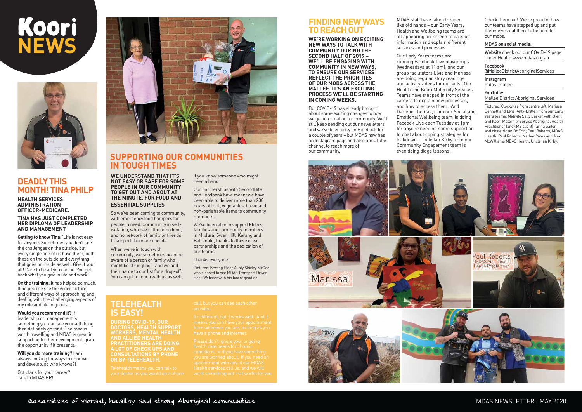### MDAS NEWSLETTER | MAY 2020

**WE UNDERSTAND THAT IT'S NOT EASY OR SAFE FOR SOME PEOPLE IN OUR COMMUNITY TO GET OUT AND ABOUT AT THE MINUTE, FOR FOOD AND ESSENTIAL SUPPLIES**

So we've been coming to community, with emergency food hampers for people in need. Community in selfisolation, who have little or no food, and no network of family or friends to support them are eligible.

When we're in touch with community, we sometimes become aware of a person or family who might be struggling – and we add their name to our list for a drop-off. You can get in touch with us as well, if you know someone who might

need a hand.

Our partnerships with SecondBite and Foodbank have meant we have been able to deliver more than 200 boxes of fruit, vegetables, bread and non-perishable items to community

members.

We've been able to support Elders, families and community members in Mildura, Swan Hill, Kerang and Balranald, thanks to these great partnerships and the dedication of

our teams.

Thanks everyone!

Pictured: Kerang Elder Aunty Shirley McGee was pleased to see MDAS Transport Driver Hack Webster with his box of goodies

# **SUPPORTING OUR COMMUNITIES IN TOUGH TIMES**

# Koori  **NEWS**



# **DEADLY THIS MONTH! TINA PHILP**

#### **HEALTH SERVICES ADMINISTRATION OFFICER-MEDICARE.**

#### **TINA HAS JUST COMPLETED HER DIPLOMA OF LEADERSHIP AND MANAGEMENT**

**Getting to know Tina:**"Life is not easy for anyone. Sometimes you don't see the challenges on the outside, but every single one of us have them, both those on the outside and everything that goes on inside as well. Give it your all! Dare to be all you can be. You get back what you give in life and work."

**On the training:** It has helped so much. It helped me see the wider picture and different ways of approaching and dealing with the challenging aspects of my role and life in general.

**Would you recommend it?** If leadership or management is something you can see yourself doing then definitely go for it. The road is worth travelling and MDAS is great in supporting further development, grab the opportunity if it presents.

**Will you do more training?** I am always looking for ways to improve and develop, so who knows?!

Got plans for your career? Talk to MDAS HR!



**TELEHEALTH** 

**IS EASY!**

**DURING COVID-19, OUR DOCTORS, HEALTH SUPPORT WORKERS, MENTAL HEALTH** 

Website check out our COVID-19 page under Health www.mdas.org.au

**AND ALLIED HEALTH** 

**PRACTITIONERS ARE DOING A LOT OF CHECK UPS AND CONSULTATIONS BY PHONE** 

**OR BY TELEHEALTH.**

# **FINDING NEW WAYS TO REACH OUT**

**WE'RE WORKING ON EXCITING NEW WAYS TO TALK WITH COMMUNITY DURING THE SECOND HALF OF 2019 – WE'LL BE ENGAGING WITH COMMUNITY IN NEW WAYS, TO ENSURE OUR SERVICES REFLECT THE PRIORITIES OF OUR MOBS ACROSS THE MALLEE. IT'S AN EXCITING PROCESS WE'LL BE STARTING IN COMING WEEKS.**

But COVID-19 has already brought about some exciting changes to how we get information to community. We'll still keep sending out our newsletters and we've been busy on Facebook for a couple of years – but MDAS now has an Instagram page and also a YouTube channel to reach more of our community.

MDAS staff have taken to video like old hands – our Early Years, Health and Wellbeing teams are all appearing on-screen to pass on information and explain different services and processes.

Our Early Years teams are running Facebook Live playgroups (Wednesdays at 11 am); and our group facilitators Elvie and Marissa are doing regular story readings and activity videos for our kids. Our Health and Koori Maternity Services Teams have stepped in front of the camera to explain new processes, and how to access them. And Darlene Thomas, from our Social and Emotional Wellbeing team, is doing Faceook Live each Tuesday at 1pm for anyone needing some support or to chat about coping strategies for lockdown. Uncle Ian Kirby from our Community Engagement team is even doing didge lessons!



Check them out! We're proud of how our teams have stepped up and put themselves out there to be here for our mobs.

#### MDAS on social media:

Facebook @MalleeDistrictAboriginalServices

Instagram mdas\_mallee

#### YouTube:

Mallee District Aboriginal Services

Pictured: Clockwise from centre left: Marissa Bennett and Elvie Kelly-Britten from our Early Years teams; Midwife Sally Barker with client and Koori Maternity Service Aboriginal Health Practitioner (andKMS client) Tarina Sailor and obstetrician Dr Erin; Paul Roberts, MDAS Health; Paul Roberts, Nathan Yates and Alex McWilliams MDAS Health; Uncle Ian Kirby.